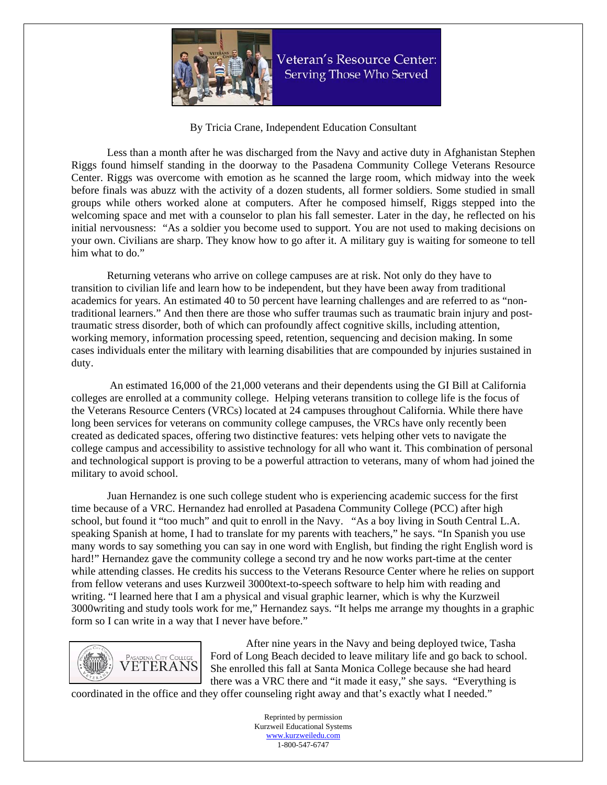

Veteran's Resource Center: Serving Those Who Served

By Tricia Crane, Independent Education Consultant

Less than a month after he was discharged from the Navy and active duty in Afghanistan Stephen Riggs found himself standing in the doorway to the Pasadena Community College Veterans Resource Center. Riggs was overcome with emotion as he scanned the large room, which midway into the week before finals was abuzz with the activity of a dozen students, all former soldiers. Some studied in small groups while others worked alone at computers. After he composed himself, Riggs stepped into the welcoming space and met with a counselor to plan his fall semester. Later in the day, he reflected on his initial nervousness: "As a soldier you become used to support. You are not used to making decisions on your own. Civilians are sharp. They know how to go after it. A military guy is waiting for someone to tell him what to do."

Returning veterans who arrive on college campuses are at risk. Not only do they have to transition to civilian life and learn how to be independent, but they have been away from traditional academics for years. An estimated 40 to 50 percent have learning challenges and are referred to as "nontraditional learners." And then there are those who suffer traumas such as traumatic brain injury and posttraumatic stress disorder, both of which can profoundly affect cognitive skills, including attention, working memory, information processing speed, retention, sequencing and decision making. In some cases individuals enter the military with learning disabilities that are compounded by injuries sustained in duty.

 An estimated 16,000 of the 21,000 veterans and their dependents using the GI Bill at California colleges are enrolled at a community college. Helping veterans transition to college life is the focus of the Veterans Resource Centers (VRCs) located at 24 campuses throughout California. While there have long been services for veterans on community college campuses, the VRCs have only recently been created as dedicated spaces, offering two distinctive features: vets helping other vets to navigate the college campus and accessibility to assistive technology for all who want it. This combination of personal and technological support is proving to be a powerful attraction to veterans, many of whom had joined the military to avoid school.

Juan Hernandez is one such college student who is experiencing academic success for the first time because of a VRC. Hernandez had enrolled at Pasadena Community College (PCC) after high school, but found it "too much" and quit to enroll in the Navy. "As a boy living in South Central L.A. speaking Spanish at home, I had to translate for my parents with teachers," he says. "In Spanish you use many words to say something you can say in one word with English, but finding the right English word is hard!" Hernandez gave the community college a second try and he now works part-time at the center while attending classes. He credits his success to the Veterans Resource Center where he relies on support from fellow veterans and uses Kurzweil 3000text-to-speech software to help him with reading and writing. "I learned here that I am a physical and visual graphic learner, which is why the Kurzweil 3000writing and study tools work for me," Hernandez says. "It helps me arrange my thoughts in a graphic form so I can write in a way that I never have before."



After nine years in the Navy and being deployed twice, Tasha Ford of Long Beach decided to leave military life and go back to school. She enrolled this fall at Santa Monica College because she had heard there was a VRC there and "it made it easy," she says. "Everything is

coordinated in the office and they offer counseling right away and that's exactly what I needed."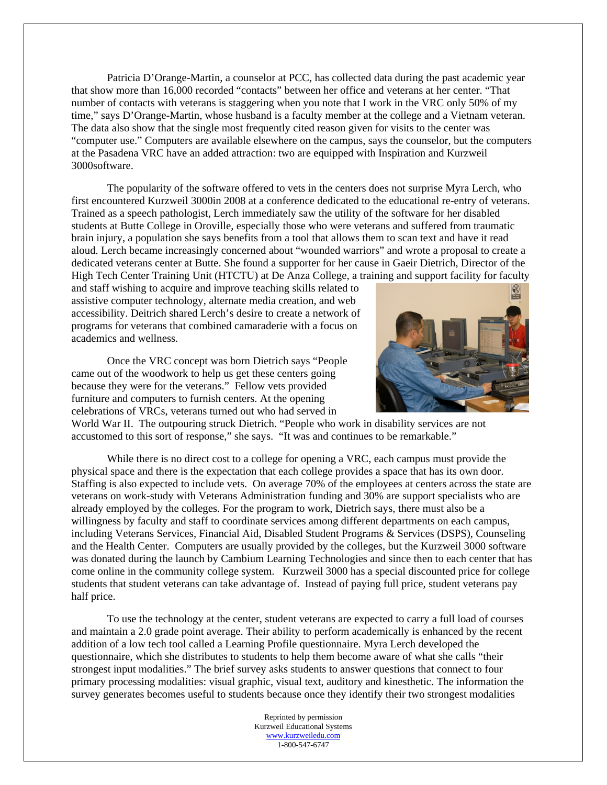Patricia D'Orange-Martin, a counselor at PCC, has collected data during the past academic year that show more than 16,000 recorded "contacts" between her office and veterans at her center. "That number of contacts with veterans is staggering when you note that I work in the VRC only 50% of my time," says D'Orange-Martin, whose husband is a faculty member at the college and a Vietnam veteran. The data also show that the single most frequently cited reason given for visits to the center was "computer use." Computers are available elsewhere on the campus, says the counselor, but the computers at the Pasadena VRC have an added attraction: two are equipped with Inspiration and Kurzweil 3000software.

The popularity of the software offered to vets in the centers does not surprise Myra Lerch, who first encountered Kurzweil 3000in 2008 at a conference dedicated to the educational re-entry of veterans. Trained as a speech pathologist, Lerch immediately saw the utility of the software for her disabled students at Butte College in Oroville, especially those who were veterans and suffered from traumatic brain injury, a population she says benefits from a tool that allows them to scan text and have it read aloud. Lerch became increasingly concerned about "wounded warriors" and wrote a proposal to create a dedicated veterans center at Butte. She found a supporter for her cause in Gaeir Dietrich, Director of the High Tech Center Training Unit (HTCTU) at De Anza College, a training and support facility for faculty

and staff wishing to acquire and improve teaching skills related to assistive computer technology, alternate media creation, and web accessibility. Deitrich shared Lerch's desire to create a network of programs for veterans that combined camaraderie with a focus on academics and wellness.

Once the VRC concept was born Dietrich says "People came out of the woodwork to help us get these centers going because they were for the veterans." Fellow vets provided furniture and computers to furnish centers. At the opening celebrations of VRCs, veterans turned out who had served in



World War II. The outpouring struck Dietrich. "People who work in disability services are not accustomed to this sort of response," she says. "It was and continues to be remarkable."

While there is no direct cost to a college for opening a VRC, each campus must provide the physical space and there is the expectation that each college provides a space that has its own door. Staffing is also expected to include vets. On average 70% of the employees at centers across the state are veterans on work-study with Veterans Administration funding and 30% are support specialists who are already employed by the colleges. For the program to work, Dietrich says, there must also be a willingness by faculty and staff to coordinate services among different departments on each campus, including Veterans Services, Financial Aid, Disabled Student Programs & Services (DSPS), Counseling and the Health Center. Computers are usually provided by the colleges, but the Kurzweil 3000 software was donated during the launch by Cambium Learning Technologies and since then to each center that has come online in the community college system. Kurzweil 3000 has a special discounted price for college students that student veterans can take advantage of. Instead of paying full price, student veterans pay half price.

To use the technology at the center, student veterans are expected to carry a full load of courses and maintain a 2.0 grade point average. Their ability to perform academically is enhanced by the recent addition of a low tech tool called a Learning Profile questionnaire. Myra Lerch developed the questionnaire, which she distributes to students to help them become aware of what she calls "their strongest input modalities." The brief survey asks students to answer questions that connect to four primary processing modalities: visual graphic, visual text, auditory and kinesthetic. The information the survey generates becomes useful to students because once they identify their two strongest modalities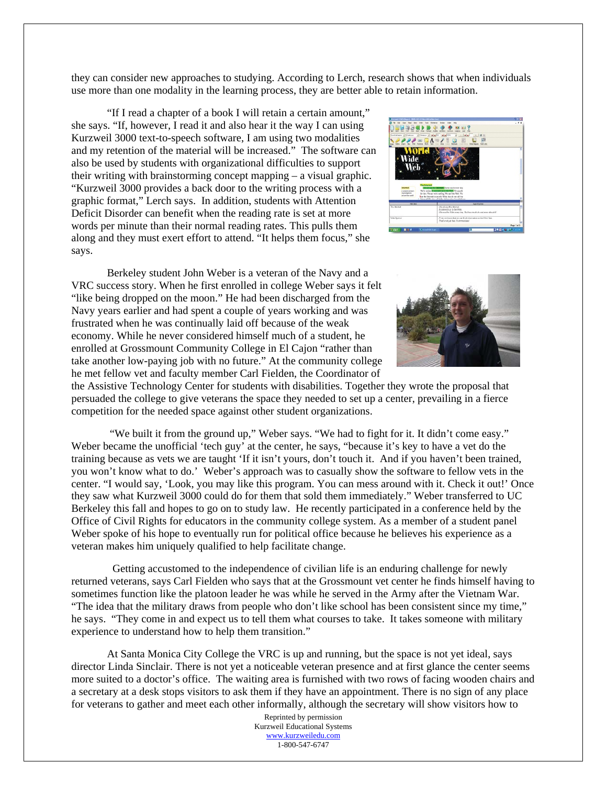they can consider new approaches to studying. According to Lerch, research shows that when individuals use more than one modality in the learning process, they are better able to retain information.

"If I read a chapter of a book I will retain a certain amount," she says. "If, however, I read it and also hear it the way I can using Kurzweil 3000 text-to-speech software, I am using two modalities and my retention of the material will be increased." The software can also be used by students with organizational difficulties to support their writing with brainstorming concept mapping – a visual graphic. "Kurzweil 3000 provides a back door to the writing process with a graphic format," Lerch says. In addition, students with Attention Deficit Disorder can benefit when the reading rate is set at more words per minute than their normal reading rates. This pulls them along and they must exert effort to attend. "It helps them focus," she says.

Berkeley student John Weber is a veteran of the Navy and a VRC success story. When he first enrolled in college Weber says it felt "like being dropped on the moon." He had been discharged from the Navy years earlier and had spent a couple of years working and was frustrated when he was continually laid off because of the weak economy. While he never considered himself much of a student, he enrolled at Grossmount Community College in El Cajon "rather than take another low-paying job with no future." At the community college he met fellow vet and faculty member Carl Fielden, the Coordinator of





the Assistive Technology Center for students with disabilities. Together they wrote the proposal that persuaded the college to give veterans the space they needed to set up a center, prevailing in a fierce competition for the needed space against other student organizations.

 "We built it from the ground up," Weber says. "We had to fight for it. It didn't come easy." Weber became the unofficial 'tech guy' at the center, he says, "because it's key to have a vet do the training because as vets we are taught 'If it isn't yours, don't touch it. And if you haven't been trained, you won't know what to do.' Weber's approach was to casually show the software to fellow vets in the center. "I would say, 'Look, you may like this program. You can mess around with it. Check it out!' Once they saw what Kurzweil 3000 could do for them that sold them immediately." Weber transferred to UC Berkeley this fall and hopes to go on to study law. He recently participated in a conference held by the Office of Civil Rights for educators in the community college system. As a member of a student panel Weber spoke of his hope to eventually run for political office because he believes his experience as a veteran makes him uniquely qualified to help facilitate change.

 Getting accustomed to the independence of civilian life is an enduring challenge for newly returned veterans, says Carl Fielden who says that at the Grossmount vet center he finds himself having to sometimes function like the platoon leader he was while he served in the Army after the Vietnam War. "The idea that the military draws from people who don't like school has been consistent since my time," he says. "They come in and expect us to tell them what courses to take. It takes someone with military experience to understand how to help them transition."

At Santa Monica City College the VRC is up and running, but the space is not yet ideal, says director Linda Sinclair. There is not yet a noticeable veteran presence and at first glance the center seems more suited to a doctor's office. The waiting area is furnished with two rows of facing wooden chairs and a secretary at a desk stops visitors to ask them if they have an appointment. There is no sign of any place for veterans to gather and meet each other informally, although the secretary will show visitors how to